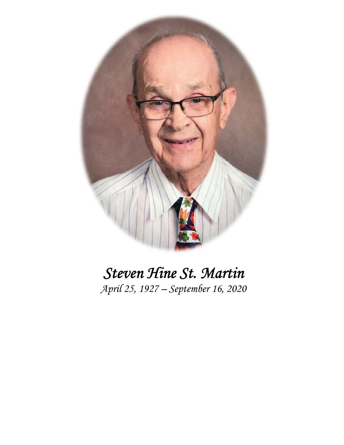

# *Steven Hine St. Martin April 25, 1927 – September 16, 2020*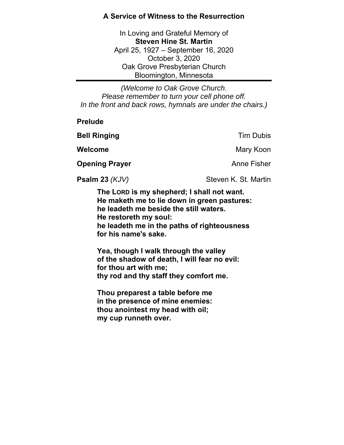# **A Service of Witness to the Resurrection**

In Loving and Grateful Memory of **Steven Hine St. Martin**  April 25, 1927 – September 16, 2020 October 3, 2020 Oak Grove Presbyterian Church Bloomington, Minnesota

*(Welcome to Oak Grove Church. Please remember to turn your cell phone off. In the front and back rows, hymnals are under the chairs.)* 

| <b>Prelude</b>        |                      |
|-----------------------|----------------------|
| <b>Bell Ringing</b>   | <b>Tim Dubis</b>     |
| Welcome               | Mary Koon            |
| <b>Opening Prayer</b> | Anne Fisher          |
| Psalm 23 $(KJV)$      | Steven K. St. Martin |

**The LORD is my shepherd; I shall not want. He maketh me to lie down in green pastures: he leadeth me beside the still waters. He restoreth my soul: he leadeth me in the paths of righteousness for his name's sake.** 

**Yea, though I walk through the valley of the shadow of death, I will fear no evil: for thou art with me; thy rod and thy staff they comfort me.** 

**Thou preparest a table before me in the presence of mine enemies: thou anointest my head with oil; my cup runneth over.**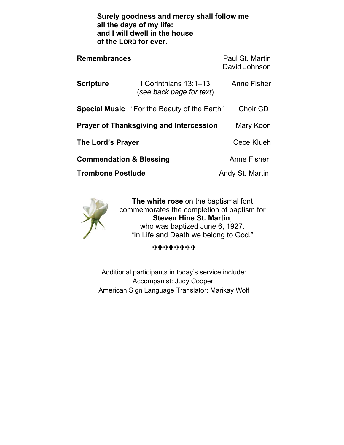**Surely goodness and mercy shall follow me all the days of my life: and I will dwell in the house of the LORD for ever.**

| <b>Remembrances</b>                            |                                                    | Paul St. Martin<br>David Johnson |
|------------------------------------------------|----------------------------------------------------|----------------------------------|
| Scripture                                      | I Corinthians 13:1-13<br>(see back page for text)  | Anne Fisher                      |
|                                                | <b>Special Music</b> "For the Beauty of the Earth" | Choir CD                         |
| <b>Prayer of Thanksgiving and Intercession</b> |                                                    | Mary Koon                        |
| The Lord's Prayer                              |                                                    | Cece Klueh                       |
| <b>Commendation &amp; Blessing</b>             |                                                    | <b>Anne Fisher</b>               |
| <b>Trombone Postlude</b>                       |                                                    | Andy St. Martin                  |



**The white rose** on the baptismal font commemorates the completion of baptism for **Steven Hine St. Martin**, who was baptized June 6, 1927. "In Life and Death we belong to God."

**÷÷÷÷÷** 

Additional participants in today's service include: Accompanist: Judy Cooper; American Sign Language Translator: Marikay Wolf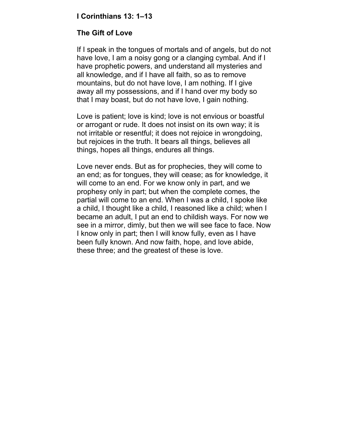# **I Corinthians 13: 1–13**

### **The Gift of Love**

If I speak in the tongues of mortals and of angels, but do not have love, I am a noisy gong or a clanging cymbal. And if I have prophetic powers, and understand all mysteries and all knowledge, and if I have all faith, so as to remove mountains, but do not have love, I am nothing. If I give away all my possessions, and if I hand over my body so that I may boast, but do not have love, I gain nothing.

Love is patient; love is kind; love is not envious or boastful or arrogant or rude. It does not insist on its own way; it is not irritable or resentful; it does not rejoice in wrongdoing, but rejoices in the truth. It bears all things, believes all things, hopes all things, endures all things.

Love never ends. But as for prophecies, they will come to an end; as for tongues, they will cease; as for knowledge, it will come to an end. For we know only in part, and we prophesy only in part; but when the complete comes, the partial will come to an end. When I was a child, I spoke like a child, I thought like a child, I reasoned like a child; when I became an adult, I put an end to childish ways. For now we see in a mirror, dimly, but then we will see face to face. Now I know only in part; then I will know fully, even as I have been fully known. And now faith, hope, and love abide, these three; and the greatest of these is love.